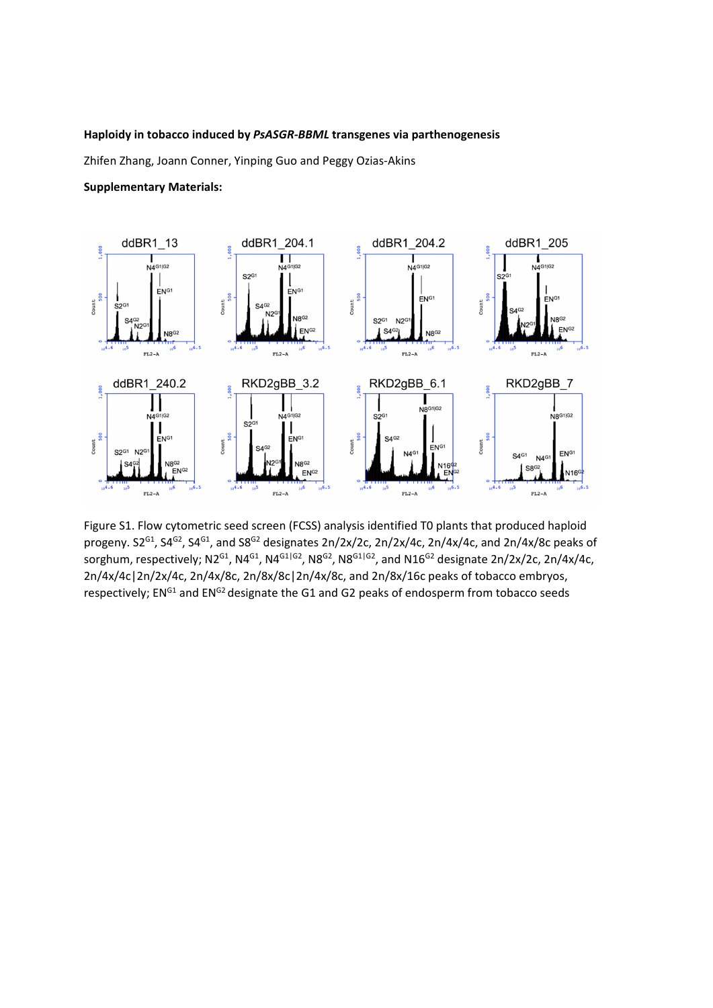## **Haploidy in tobacco induced by** *PsASGR-BBML* **transgenes via parthenogenesis**

Zhifen Zhang, Joann Conner, Yinping Guo and Peggy Ozias-Akins

## **Supplementary Materials:**



Figure S1. Flow cytometric seed screen (FCSS) analysis identified T0 plants that produced haploid progeny. S2<sup>G1</sup>, S4<sup>G2</sup>, S4<sup>G1</sup>, and S8<sup>G2</sup> designates 2n/2x/2c, 2n/2x/4c, 2n/4x/4c, and 2n/4x/8c peaks of sorghum, respectively; N2<sup>G1</sup>, N4<sup>G1</sup>, N4<sup>G1|G2</sup>, N8<sup>G2</sup>, N8<sup>G1|G2</sup>, and N16<sup>G2</sup> designate 2n/2x/2c, 2n/4x/4c, 2n/4x/4c|2n/2x/4c, 2n/4x/8c, 2n/8x/8c|2n/4x/8c, and 2n/8x/16c peaks of tobacco embryos, respectively; EN<sup>G1</sup> and EN<sup>G2</sup> designate the G1 and G2 peaks of endosperm from tobacco seeds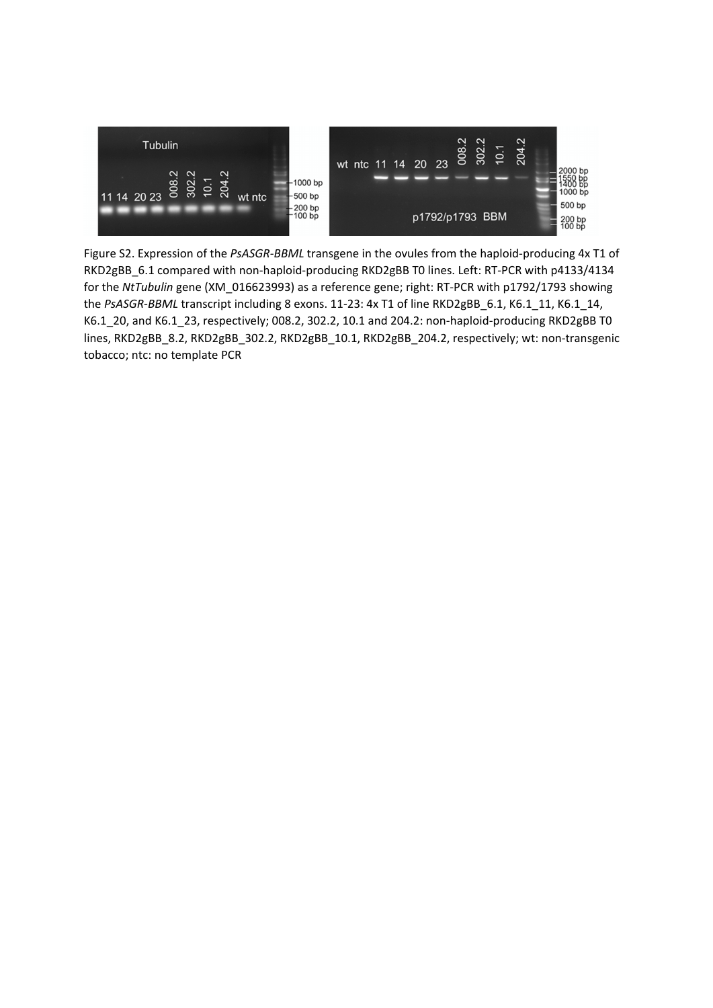

Figure S2. Expression of the *PsASGR-BBML* transgene in the ovules from the haploid-producing 4x T1 of RKD2gBB\_6.1 compared with non-haploid-producing RKD2gBB T0 lines. Left: RT-PCR with p4133/4134 for the *NtTubulin* gene (XM\_016623993) as a reference gene; right: RT-PCR with p1792/1793 showing the PsASGR-BBML transcript including 8 exons. 11-23: 4x T1 of line RKD2gBB\_6.1, K6.1\_11, K6.1\_14, K6.1\_20, and K6.1\_23, respectively; 008.2, 302.2, 10.1 and 204.2: non-haploid-producing RKD2gBB T0 lines, RKD2gBB\_8.2, RKD2gBB\_302.2, RKD2gBB\_10.1, RKD2gBB\_204.2, respectively; wt: non-transgenic tobacco; ntc: no template PCR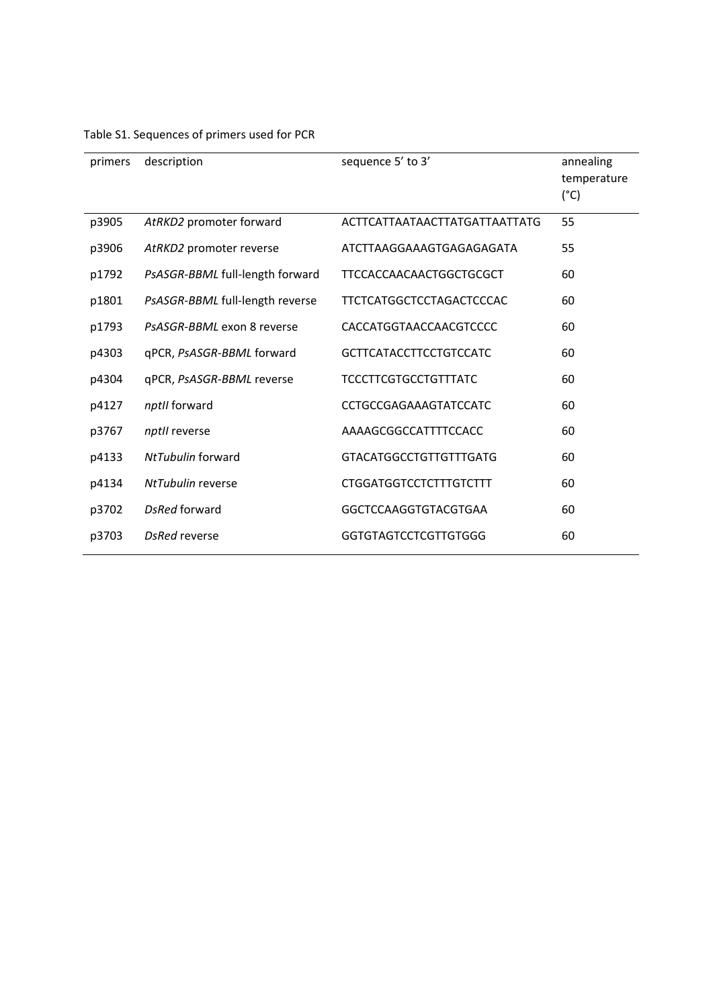| primers | description                     | sequence 5' to 3'               | annealing<br>temperature<br>$(^{\circ}C)$ |
|---------|---------------------------------|---------------------------------|-------------------------------------------|
| p3905   | AtRKD2 promoter forward         | ACTTCATTAATAACTTATGATTAATTATG   | 55                                        |
| p3906   | AtRKD2 promoter reverse         | ATCTTAAGGAAAGTGAGAGAGATA        | 55                                        |
| p1792   | PsASGR-BBML full-length forward | TTCCACCAACAACTGGCTGCGCT         | 60                                        |
| p1801   | PsASGR-BBML full-length reverse | <b>TTCTCATGGCTCCTAGACTCCCAC</b> | 60                                        |
| p1793   | PsASGR-BBML exon 8 reverse      | CACCATGGTAACCAACGTCCCC          | 60                                        |
| p4303   | qPCR, PsASGR-BBML forward       | <b>GCTTCATACCTTCCTGTCCATC</b>   | 60                                        |
| p4304   | qPCR, PsASGR-BBML reverse       | <b>TCCCTTCGTGCCTGTTTATC</b>     | 60                                        |
| p4127   | nptll forward                   | <b>CCTGCCGAGAAAGTATCCATC</b>    | 60                                        |
| p3767   | nptll reverse                   | AAAAGCGGCCATTTTCCACC            | 60                                        |
| p4133   | NtTubulin forward               | <b>GTACATGGCCTGTTGTTTGATG</b>   | 60                                        |
| p4134   | NtTubulin reverse               | <b>CTGGATGGTCCTCTTTGTCTTT</b>   | 60                                        |
| p3702   | DsRed forward                   | GGCTCCAAGGTGTACGTGAA            | 60                                        |
| p3703   | <b>DsRed reverse</b>            | <b>GGTGTAGTCCTCGTTGTGGG</b>     | 60                                        |

## Table S1. Sequences of primers used for PCR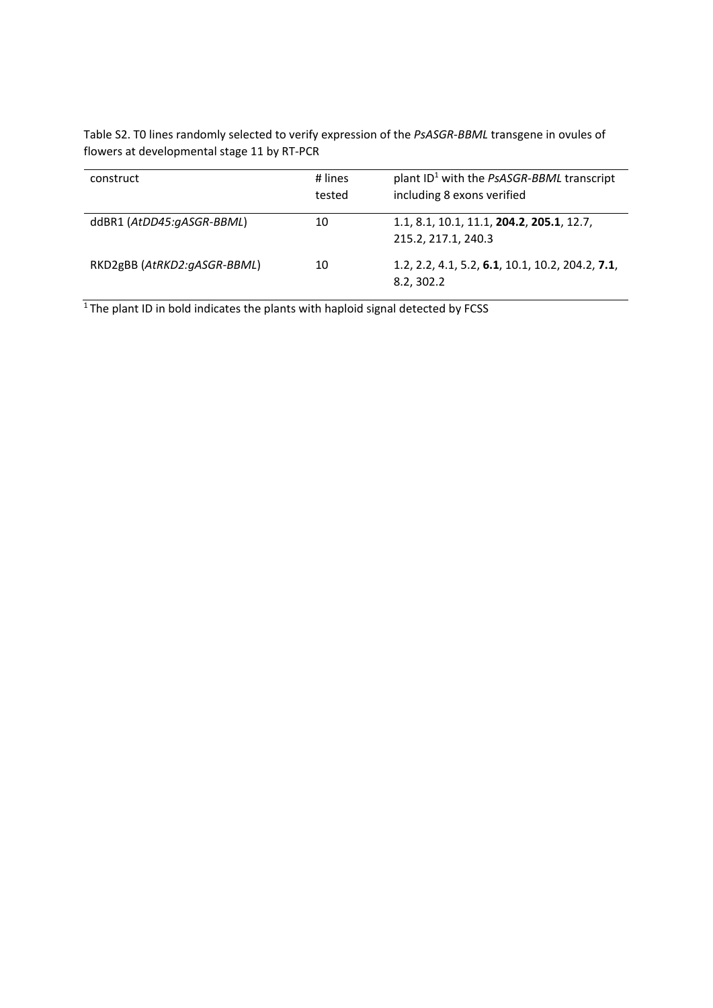Table S2. T0 lines randomly selected to verify expression of the *PsASGR-BBML* transgene in ovules of flowers at developmental stage 11 by RT-PCR

| construct                   | # lines<br>tested | plant $ID^1$ with the PsASGR-BBML transcript<br>including 8 exons verified |
|-----------------------------|-------------------|----------------------------------------------------------------------------|
| ddBR1 (AtDD45:gASGR-BBML)   | 10                | 1.1, 8.1, 10.1, 11.1, 204.2, 205.1, 12.7,<br>215.2, 217.1, 240.3           |
| RKD2gBB (AtRKD2:gASGR-BBML) | 10                | 1.2, 2.2, 4.1, 5.2, 6.1, 10.1, 10.2, 204.2, 7.1,<br>8.2, 302.2             |

 $1$ <sup>T</sup>he plant ID in bold indicates the plants with haploid signal detected by FCSS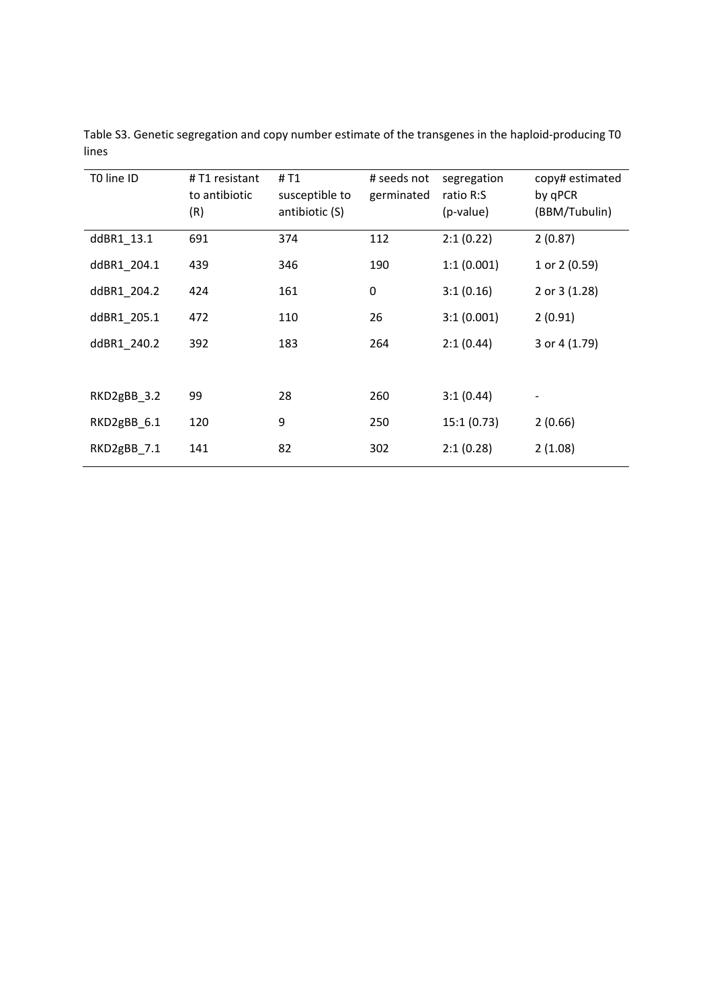| T0 line ID  | #T1 resistant<br>to antibiotic<br>(R) | # T1<br>susceptible to<br>antibiotic (S) | # seeds not<br>germinated | segregation<br>ratio R:S<br>(p-value) | copy# estimated<br>by qPCR<br>(BBM/Tubulin) |
|-------------|---------------------------------------|------------------------------------------|---------------------------|---------------------------------------|---------------------------------------------|
| ddBR1_13.1  | 691                                   | 374                                      | 112                       | 2:1(0.22)                             | 2(0.87)                                     |
| ddBR1_204.1 | 439                                   | 346                                      | 190                       | 1:1(0.001)                            | 1 or 2 (0.59)                               |
| ddBR1_204.2 | 424                                   | 161                                      | 0                         | 3:1(0.16)                             | 2 or 3 (1.28)                               |
| ddBR1_205.1 | 472                                   | 110                                      | 26                        | 3:1(0.001)                            | 2(0.91)                                     |
| ddBR1_240.2 | 392                                   | 183                                      | 264                       | 2:1(0.44)                             | 3 or 4 (1.79)                               |
|             |                                       |                                          |                           |                                       |                                             |
| RKD2gBB_3.2 | 99                                    | 28                                       | 260                       | 3:1(0.44)                             | -                                           |
| RKD2gBB 6.1 | 120                                   | 9                                        | 250                       | 15:1(0.73)                            | 2(0.66)                                     |
| RKD2gBB_7.1 | 141                                   | 82                                       | 302                       | 2:1(0.28)                             | 2(1.08)                                     |

Table S3. Genetic segregation and copy number estimate of the transgenes in the haploid-producing T0 lines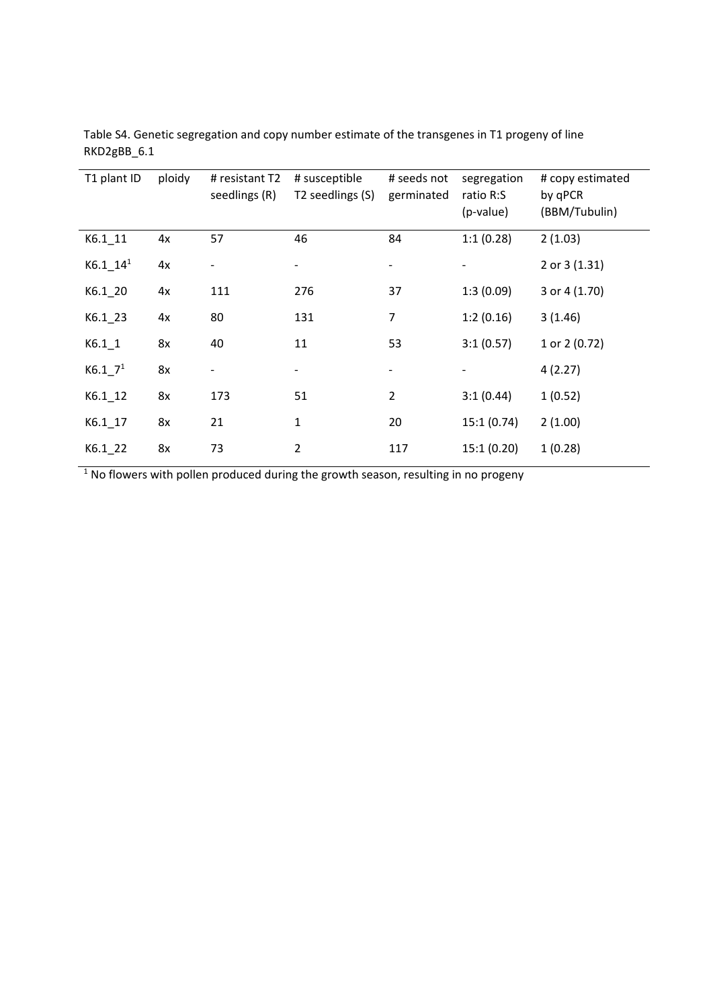| T1 plant ID         | ploidy | # resistant T2<br>seedlings (R) | # susceptible<br>T2 seedlings (S) | # seeds not<br>germinated | segregation<br>ratio R:S<br>(p-value) | # copy estimated<br>by qPCR<br>(BBM/Tubulin) |
|---------------------|--------|---------------------------------|-----------------------------------|---------------------------|---------------------------------------|----------------------------------------------|
| $K6.1$ 11           | 4x     | 57                              | 46                                | 84                        | 1:1(0.28)                             | 2(1.03)                                      |
| $K6.1 - 141$        | 4x     |                                 |                                   |                           |                                       | 2 or 3 (1.31)                                |
| $K6.1$ 20           | 4x     | 111                             | 276                               | 37                        | 1:3(0.09)                             | 3 or 4 (1.70)                                |
| $K6.1$ 23           | 4x     | 80                              | 131                               | 7                         | 1:2(0.16)                             | 3(1.46)                                      |
| $K6.1$ <sup>1</sup> | 8x     | 40                              | 11                                | 53                        | 3:1(0.57)                             | 1 or 2 (0.72)                                |
| K6.17 <sup>1</sup>  | 8x     |                                 | $\overline{\phantom{a}}$          |                           |                                       | 4(2.27)                                      |
| $K6.1 - 12$         | 8x     | 173                             | 51                                | $\overline{2}$            | 3:1(0.44)                             | 1(0.52)                                      |
| $K6.1 - 17$         | 8x     | 21                              | $\mathbf{1}$                      | 20                        | 15:1(0.74)                            | 2(1.00)                                      |
| $K6.1$ 22           | 8x     | 73                              | $\overline{2}$                    | 117                       | 15:1(0.20)                            | 1(0.28)                                      |

Table S4. Genetic segregation and copy number estimate of the transgenes in T1 progeny of line RKD2gBB\_6.1

 $1$  No flowers with pollen produced during the growth season, resulting in no progeny